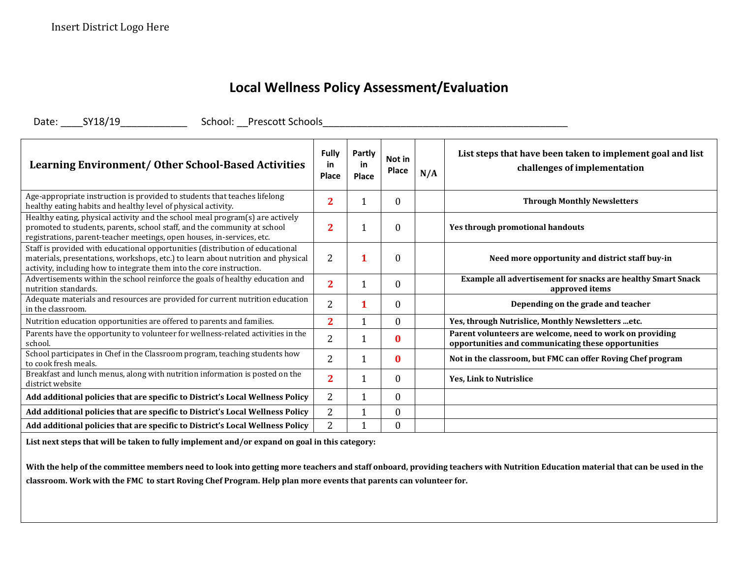## **Local Wellness Policy Assessment/Evaluation**

Date: \_\_\_\_SY18/19\_\_\_\_\_\_\_\_\_\_\_\_ School: \_\_Prescott Schools\_\_\_\_\_\_\_\_\_\_\_\_\_\_\_\_\_\_\_\_\_\_\_\_\_\_\_\_\_\_\_\_\_\_\_\_\_\_\_\_\_\_\_\_

| <b>Learning Environment/ Other School-Based Activities</b>                                                                                                                                                                                | Fully<br>in<br><b>Place</b> | <b>Partly</b><br>in<br>Place | Not in<br>Place  | N/A | List steps that have been taken to implement goal and list<br>challenges of implementation                      |
|-------------------------------------------------------------------------------------------------------------------------------------------------------------------------------------------------------------------------------------------|-----------------------------|------------------------------|------------------|-----|-----------------------------------------------------------------------------------------------------------------|
| Age-appropriate instruction is provided to students that teaches lifelong<br>healthy eating habits and healthy level of physical activity.                                                                                                | 2                           |                              | $\boldsymbol{0}$ |     | <b>Through Monthly Newsletters</b>                                                                              |
| Healthy eating, physical activity and the school meal program(s) are actively<br>promoted to students, parents, school staff, and the community at school<br>registrations, parent-teacher meetings, open houses, in-services, etc.       | $\overline{2}$              |                              | 0                |     | Yes through promotional handouts                                                                                |
| Staff is provided with educational opportunities (distribution of educational<br>materials, presentations, workshops, etc.) to learn about nutrition and physical<br>activity, including how to integrate them into the core instruction. | $\overline{2}$              |                              | $\Omega$         |     | Need more opportunity and district staff buy-in                                                                 |
| Advertisements within the school reinforce the goals of healthy education and<br>nutrition standards.                                                                                                                                     | $\overline{2}$              |                              | $\boldsymbol{0}$ |     | Example all advertisement for snacks are healthy Smart Snack<br>approved items                                  |
| Adequate materials and resources are provided for current nutrition education<br>in the classroom.                                                                                                                                        | $\overline{2}$              |                              | $\Omega$         |     | Depending on the grade and teacher                                                                              |
| Nutrition education opportunities are offered to parents and families.                                                                                                                                                                    | $\overline{2}$              |                              | 0                |     | Yes, through Nutrislice, Monthly Newsletters etc.                                                               |
| Parents have the opportunity to volunteer for wellness-related activities in the<br>school.                                                                                                                                               | $\overline{2}$              |                              | 0                |     | Parent volunteers are welcome, need to work on providing<br>opportunities and communicating these opportunities |
| School participates in Chef in the Classroom program, teaching students how<br>to cook fresh meals.                                                                                                                                       | 2                           |                              | 0                |     | Not in the classroom, but FMC can offer Roving Chef program                                                     |
| Breakfast and lunch menus, along with nutrition information is posted on the<br>district website                                                                                                                                          | $\overline{2}$              |                              | 0                |     | <b>Yes, Link to Nutrislice</b>                                                                                  |
| Add additional policies that are specific to District's Local Wellness Policy                                                                                                                                                             | $\overline{2}$              |                              | $\boldsymbol{0}$ |     |                                                                                                                 |
| Add additional policies that are specific to District's Local Wellness Policy                                                                                                                                                             | 2                           |                              | $\Omega$         |     |                                                                                                                 |
| Add additional policies that are specific to District's Local Wellness Policy                                                                                                                                                             | 2                           |                              | $\Omega$         |     |                                                                                                                 |

**List next steps that will be taken to fully implement and/or expand on goal in this category:**

**With the help of the committee members need to look into getting more teachers and staff onboard, providing teachers with Nutrition Education material that can be used in the classroom. Work with the FMC to start Roving Chef Program. Help plan more events that parents can volunteer for.**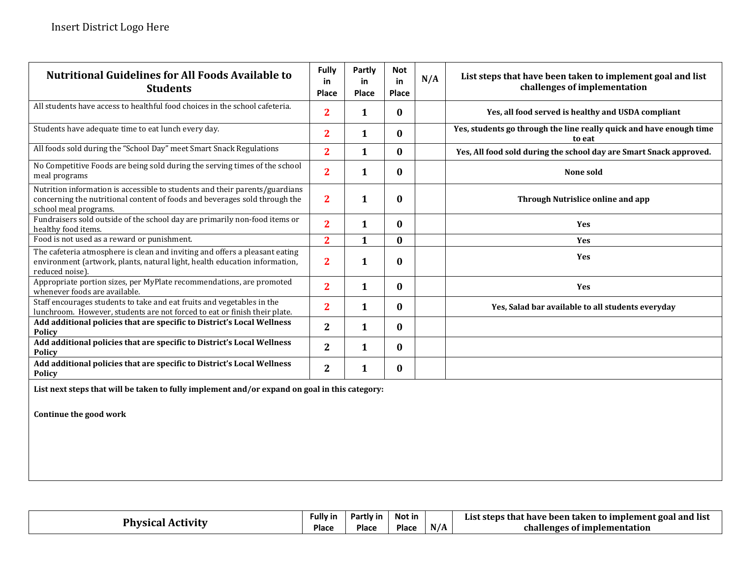| <b>Nutritional Guidelines for All Foods Available to</b><br><b>Students</b>                                                                                                        | <b>Fully</b><br>in<br><b>Place</b> | Partly<br>in<br><b>Place</b> | <b>Not</b><br>in<br>Place | N/A | List steps that have been taken to implement goal and list<br>challenges of implementation |
|------------------------------------------------------------------------------------------------------------------------------------------------------------------------------------|------------------------------------|------------------------------|---------------------------|-----|--------------------------------------------------------------------------------------------|
| All students have access to healthful food choices in the school cafeteria.                                                                                                        | $\overline{2}$                     | $\mathbf{1}$                 | $\bf{0}$                  |     | Yes, all food served is healthy and USDA compliant                                         |
| Students have adequate time to eat lunch every day.                                                                                                                                | $\overline{2}$                     | 1                            | $\bf{0}$                  |     | Yes, students go through the line really quick and have enough time<br>to eat              |
| All foods sold during the "School Day" meet Smart Snack Regulations                                                                                                                | $\overline{2}$                     | $\mathbf{1}$                 | $\bf{0}$                  |     | Yes, All food sold during the school day are Smart Snack approved.                         |
| No Competitive Foods are being sold during the serving times of the school<br>meal programs                                                                                        | $\overline{2}$                     | $\mathbf{1}$                 | $\bf{0}$                  |     | None sold                                                                                  |
| Nutrition information is accessible to students and their parents/guardians<br>concerning the nutritional content of foods and beverages sold through the<br>school meal programs. | $\overline{2}$                     | $\mathbf{1}$                 | $\bf{0}$                  |     | Through Nutrislice online and app                                                          |
| Fundraisers sold outside of the school day are primarily non-food items or<br>healthy food items.                                                                                  | $\overline{2}$                     | $\mathbf{1}$                 | $\bf{0}$                  |     | <b>Yes</b>                                                                                 |
| Food is not used as a reward or punishment.                                                                                                                                        | $\overline{2}$                     | $\mathbf{1}$                 | $\bf{0}$                  |     | Yes                                                                                        |
| The cafeteria atmosphere is clean and inviting and offers a pleasant eating<br>environment (artwork, plants, natural light, health education information,<br>reduced noise)        | $\overline{2}$                     | $\mathbf{1}$                 | $\mathbf{0}$              |     | <b>Yes</b>                                                                                 |
| Appropriate portion sizes, per MyPlate recommendations, are promoted<br>whenever foods are available.                                                                              | $\overline{2}$                     | $\mathbf{1}$                 | $\bf{0}$                  |     | Yes                                                                                        |
| Staff encourages students to take and eat fruits and vegetables in the<br>lunchroom. However, students are not forced to eat or finish their plate.                                | $\overline{2}$                     | $\mathbf{1}$                 | $\bf{0}$                  |     | Yes, Salad bar available to all students everyday                                          |
| Add additional policies that are specific to District's Local Wellness<br><b>Policy</b>                                                                                            | $\mathbf{2}$                       | $\mathbf{1}$                 | $\bf{0}$                  |     |                                                                                            |
| Add additional policies that are specific to District's Local Wellness<br><b>Policy</b>                                                                                            | $\mathbf{2}$                       | $\mathbf{1}$                 | $\bf{0}$                  |     |                                                                                            |
| Add additional policies that are specific to District's Local Wellness<br><b>Policy</b>                                                                                            | $\mathbf{2}$                       | $\mathbf{1}$                 | $\bf{0}$                  |     |                                                                                            |

**List next steps that will be taken to fully implement and/or expand on goal in this category:**

**Continue the good work** 

| Physica | Fully iı     | Partly in | Not in |     | .<br>e been taken to implement goal and list-<br>' that have<br>List steps |
|---------|--------------|-----------|--------|-----|----------------------------------------------------------------------------|
| Activit | <b>Place</b> | Place     | Place  | N/A | challenges<br>; of implementation                                          |